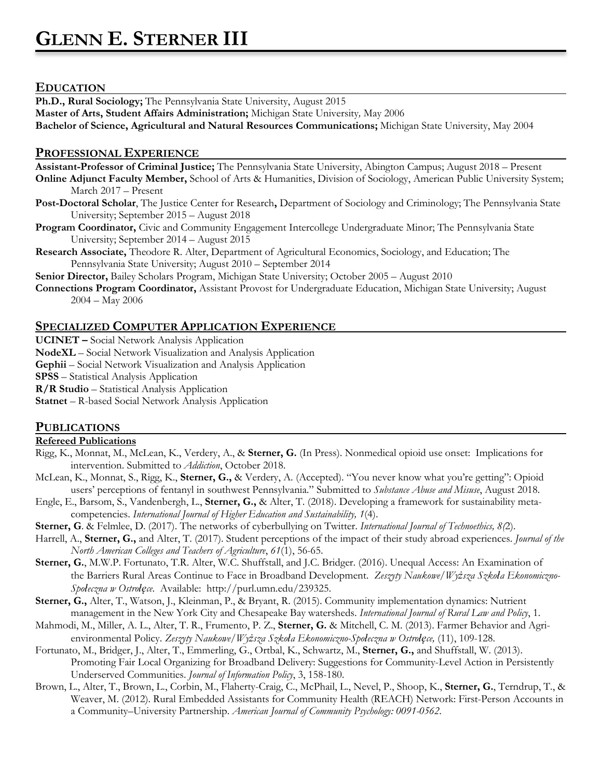# **EDUCATION**

**Ph.D., Rural Sociology;** The Pennsylvania State University, August 2015

**Master of Arts, Student Affairs Administration;** Michigan State University*,* May 2006

**Bachelor of Science, Agricultural and Natural Resources Communications;** Michigan State University, May 2004

# **PROFESSIONAL EXPERIENCE**

**Assistant-Professor of Criminal Justice;** The Pennsylvania State University, Abington Campus; August 2018 – Present

**Online Adjunct Faculty Member,** School of Arts & Humanities, Division of Sociology, American Public University System; March 2017 – Present

- **Post-Doctoral Scholar**, The Justice Center for Research**,** Department of Sociology and Criminology; The Pennsylvania State University; September 2015 – August 2018
- **Program Coordinator,** Civic and Community Engagement Intercollege Undergraduate Minor; The Pennsylvania State University; September 2014 – August 2015
- **Research Associate,** Theodore R. Alter, Department of Agricultural Economics, Sociology, and Education; The Pennsylvania State University; August 2010 – September 2014

**Senior Director,** Bailey Scholars Program, Michigan State University; October 2005 – August 2010

**Connections Program Coordinator,** Assistant Provost for Undergraduate Education, Michigan State University; August 2004 – May 2006

# **SPECIALIZED COMPUTER APPLICATION EXPERIENCE**

**UCINET –** Social Network Analysis Application

**NodeXL** – Social Network Visualization and Analysis Application

**Gephii** – Social Network Visualization and Analysis Application

**SPSS** – Statistical Analysis Application

**R/R Studio** – Statistical Analysis Application

**Statnet** – R-based Social Network Analysis Application

# **PUBLICATIONS**

## **Refereed Publications**

- Rigg, K., Monnat, M., McLean, K., Verdery, A., & **Sterner, G.** (In Press). Nonmedical opioid use onset: Implications for intervention. Submitted to *Addiction*, October 2018.
- McLean, K., Monnat, S., Rigg, K., **Sterner, G.,** & Verdery, A. (Accepted). "You never know what you're getting": Opioid users' perceptions of fentanyl in southwest Pennsylvania." Submitted to *Substance Abuse and Misuse*, August 2018.
- Engle, E., Barsom, S., Vandenbergh, L., **Sterner, G.,** & Alter, T. (2018). Developing a framework for sustainability metacompetencies. *International Journal of Higher Education and Sustainability, 1*(4).
- **Sterner, G**. & Felmlee, D. (2017). The networks of cyberbullying on Twitter. *International Journal of Technoethics, 8(*2).
- Harrell, A., **Sterner, G.,** and Alter, T. (2017). Student perceptions of the impact of their study abroad experiences. *Journal of the North American Colleges and Teachers of Agriculture*, *61*(1), 56-65.
- **Sterner, G.**, M.W.P. Fortunato, T.R. Alter, W.C. Shuffstall, and J.C. Bridger. (2016). Unequal Access: An Examination of the Barriers Rural Areas Continue to Face in Broadband Development. *Zeszyty Naukowe/Wyższa Szkoła Ekonomiczno-Społeczna w Ostrołęce*. Available: http://purl.umn.edu/239325.
- **Sterner, G.,** Alter, T., Watson, J., Kleinman, P., & Bryant, R. (2015). Community implementation dynamics: Nutrient management in the New York City and Chesapeake Bay watersheds. *International Journal of Rural Law and Policy*, 1.
- Mahmodi, M., Miller, A. L., Alter, T. R., Frumento, P. Z., **Sterner, G.** & Mitchell, C. M. (2013). Farmer Behavior and Agrienvironmental Policy. *Zeszyty Naukowe/Wyższa Szkoła Ekonomiczno-Społeczna w Ostrołęce,* (11), 109-128.
- Fortunato, M., Bridger, J., Alter, T., Emmerling, G., Ortbal, K., Schwartz, M., **Sterner, G.,** and Shuffstall, W. (2013). Promoting Fair Local Organizing for Broadband Delivery: Suggestions for Community-Level Action in Persistently Underserved Communities. *Journal of Information Policy*, 3, 158-180.
- Brown, L., Alter, T., Brown, L., Corbin, M., Flaherty-Craig, C., McPhail, L., Nevel, P., Shoop, K., **Sterner, G.**, Terndrup, T., & Weaver, M. (2012). Rural Embedded Assistants for Community Health (REACH) Network: First-Person Accounts in a Community–University Partnership. *American Journal of Community Psychology: 0091-0562*.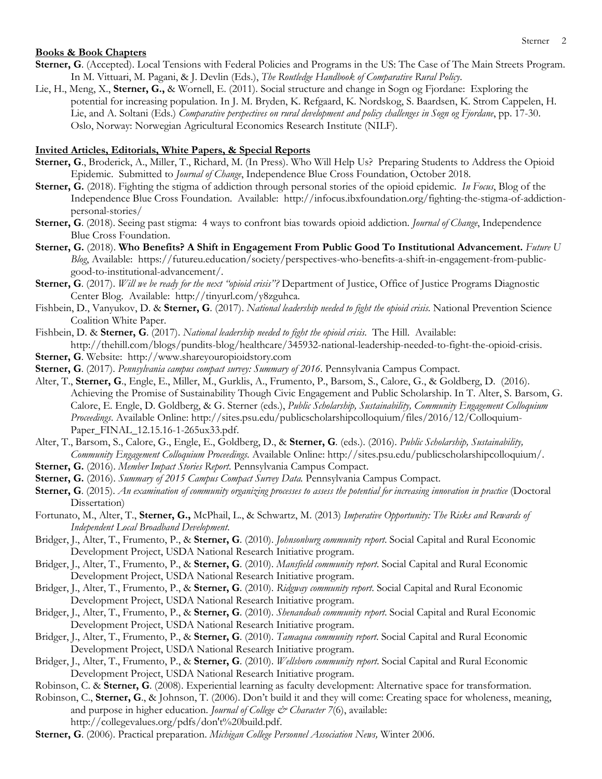### **Books & Book Chapters**

- **Sterner, G**. (Accepted). Local Tensions with Federal Policies and Programs in the US: The Case of The Main Streets Program. In M. Vittuari, M. Pagani, & J. Devlin (Eds.), *The Routledge Handbook of Comparative Rural Policy*.
- Lie, H., Meng, X., **Sterner, G.,** & Wornell, E. (2011). Social structure and change in Sogn og Fjordane: Exploring the potential for increasing population. In J. M. Bryden, K. Refgaard, K. Nordskog, S. Baardsen, K. Strom Cappelen, H. Lie, and A. Soltani (Eds.) *Comparative perspectives on rural development and policy challenges in Sogn og Fjordane*, pp. 17-30. Oslo, Norway: Norwegian Agricultural Economics Research Institute (NILF).

### **Invited Articles, Editorials, White Papers, & Special Reports**

- **Sterner, G**., Broderick, A., Miller, T., Richard, M. (In Press). Who Will Help Us? Preparing Students to Address the Opioid Epidemic. Submitted to *Journal of Change*, Independence Blue Cross Foundation, October 2018.
- **Sterner, G.** (2018). Fighting the stigma of addiction through personal stories of the opioid epidemic. *In Focus*, Blog of the Independence Blue Cross Foundation. Available: http://infocus.ibxfoundation.org/fighting-the-stigma-of-addictionpersonal-stories/
- **Sterner, G**. (2018). Seeing past stigma: 4 ways to confront bias towards opioid addiction. *Journal of Change*, Independence Blue Cross Foundation.
- **Sterner, G.** (2018). **Who Benefits? A Shift in Engagement From Public Good To Institutional Advancement.** *Future U Blog*, Available: https://futureu.education/society/perspectives-who-benefits-a-shift-in-engagement-from-publicgood-to-institutional-advancement/.
- Sterner, G. (2017). *Will we be ready for the next "opioid crisis"?* Department of Justice, Office of Justice Programs Diagnostic Center Blog. Available: http://tinyurl.com/y8zguhca.
- Fishbein, D., Vanyukov, D. & **Sterner, G**. (2017). *National leadership needed to fight the opioid crisis.* National Prevention Science Coalition White Paper.
- Fishbein, D. & **Sterner, G**. (2017). *National leadership needed to fight the opioid crisis.* The Hill. Available: http://thehill.com/blogs/pundits-blog/healthcare/345932-national-leadership-needed-to-fight-the-opioid-crisis.
- **Sterner, G**. Website: http://www.shareyouropioidstory.com
- **Sterner, G**. (2017). *Pennsylvania campus compact survey: Summary of 2016*. Pennsylvania Campus Compact.
- Alter, T., **Sterner, G**., Engle, E., Miller, M., Gurklis, A., Frumento, P., Barsom, S., Calore, G., & Goldberg, D. (2016). Achieving the Promise of Sustainability Though Civic Engagement and Public Scholarship. In T. Alter, S. Barsom, G. Calore, E. Engle, D. Goldberg, & G. Sterner (eds.), *Public Scholarship, Sustainability, Community Engagement Colloquium Proceedings*. Available Online: http://sites.psu.edu/publicscholarshipcolloquium/files/2016/12/Colloquium-Paper\_FINAL\_12.15.16-1-265ux33.pdf.
- Alter, T., Barsom, S., Calore, G., Engle, E., Goldberg, D., & **Sterner, G**. (eds.). (2016). *Public Scholarship, Sustainability, Community Engagement Colloquium Proceedings.* Available Online: http://sites.psu.edu/publicscholarshipcolloquium/.
- **Sterner, G.** (2016). *Member Impact Stories Report*. Pennsylvania Campus Compact.
- **Sterner, G.** (2016). *Summary of 2015 Campus Compact Survey Data.* Pennsylvania Campus Compact.
- **Sterner, G**. (2015). *An examination of community organizing processes to assess the potential for increasing innovation in practice* (Doctoral Dissertation)
- Fortunato, M., Alter, T., **Sterner, G.,** McPhail, L., & Schwartz, M. (2013) *Imperative Opportunity: The Risks and Rewards of Independent Local Broadband Development*.
- Bridger, J., Alter, T., Frumento, P., & **Sterner, G**. (2010). *Johnsonburg community report*. Social Capital and Rural Economic Development Project, USDA National Research Initiative program.
- Bridger, J., Alter, T., Frumento, P., & **Sterner, G**. (2010). *Mansfield community report*. Social Capital and Rural Economic Development Project, USDA National Research Initiative program.
- Bridger, J., Alter, T., Frumento, P., & **Sterner, G**. (2010). *Ridgway community report*. Social Capital and Rural Economic Development Project, USDA National Research Initiative program.
- Bridger, J., Alter, T., Frumento, P., & **Sterner, G**. (2010). *Shenandoah community report*. Social Capital and Rural Economic Development Project, USDA National Research Initiative program.
- Bridger, J., Alter, T., Frumento, P., & **Sterner, G**. (2010). *Tamaqua community report*. Social Capital and Rural Economic Development Project, USDA National Research Initiative program.
- Bridger, J., Alter, T., Frumento, P., & **Sterner, G**. (2010). *Wellsboro community report*. Social Capital and Rural Economic Development Project, USDA National Research Initiative program.
- Robinson, C. & **Sterner, G**. (2008). Experiential learning as faculty development: Alternative space for transformation.
- Robinson, C., **Sterner, G**., & Johnson, T. (2006). Don't build it and they will come: Creating space for wholeness, meaning, and purpose in higher education. *Journal of College & Character 7(6)*, available:
	- http://collegevalues.org/pdfs/don't%20build.pdf.
- **Sterner, G**. (2006). Practical preparation. *Michigan College Personnel Association News,* Winter 2006.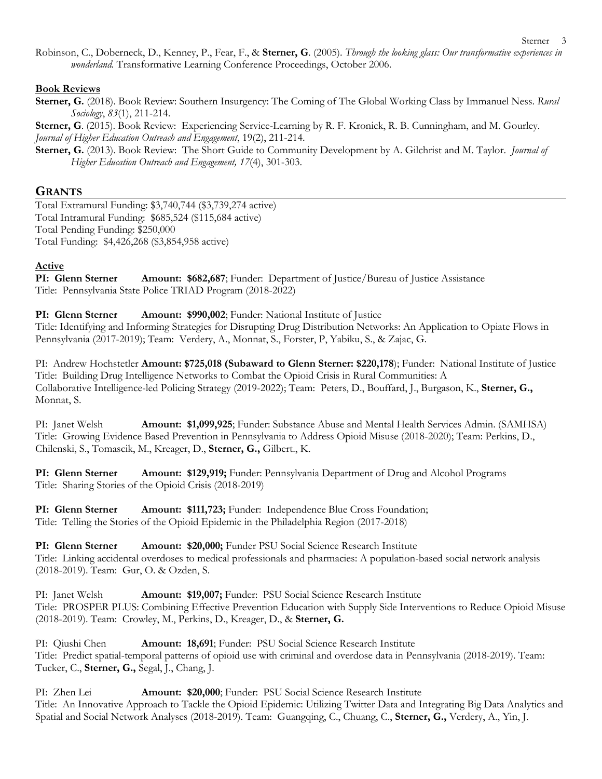Robinson, C., Doberneck, D., Kenney, P., Fear, F., & **Sterner, G**. (2005). *Through the looking glass: Our transformative experiences in wonderland.* Transformative Learning Conference Proceedings, October 2006.

## **Book Reviews**

**Sterner, G.** (2018). Book Review: Southern Insurgency: The Coming of The Global Working Class by Immanuel Ness. *Rural Sociology*, *83*(1), 211-214.

**Sterner, G**. (2015). Book Review: Experiencing Service-Learning by R. F. Kronick, R. B. Cunningham, and M. Gourley. *Journal of Higher Education Outreach and Engagement*, 19(2), 211-214.

**Sterner, G.** (2013). Book Review: The Short Guide to Community Development by A. Gilchrist and M. Taylor. *Journal of Higher Education Outreach and Engagement, 17*(4), 301-303.

# **GRANTS**

Total Extramural Funding: \$3,740,744 (\$3,739,274 active) Total Intramural Funding: \$685,524 (\$115,684 active) Total Pending Funding: \$250,000 Total Funding: \$4,426,268 (\$3,854,958 active)

## **Active**

**PI: Glenn Sterner Amount: \$682,687**; Funder: Department of Justice/Bureau of Justice Assistance Title: Pennsylvania State Police TRIAD Program (2018-2022)

**PI: Glenn Sterner Amount: \$990,002**; Funder: National Institute of Justice

Title: Identifying and Informing Strategies for Disrupting Drug Distribution Networks: An Application to Opiate Flows in Pennsylvania (2017-2019); Team: Verdery, A., Monnat, S., Forster, P, Yabiku, S., & Zajac, G.

PI: Andrew Hochstetler **Amount: \$725,018 (Subaward to Glenn Sterner: \$220,178**); Funder: National Institute of Justice Title: Building Drug Intelligence Networks to Combat the Opioid Crisis in Rural Communities: A Collaborative Intelligence-led Policing Strategy (2019-2022); Team: Peters, D., Bouffard, J., Burgason, K., **Sterner, G.,** Monnat, S.

PI: Janet Welsh **Amount: \$1,099,925**; Funder: Substance Abuse and Mental Health Services Admin. (SAMHSA) Title: Growing Evidence Based Prevention in Pennsylvania to Address Opioid Misuse (2018-2020); Team: Perkins, D., Chilenski, S., Tomascik, M., Kreager, D., **Sterner, G.,** Gilbert., K.

**PI: Glenn Sterner Amount: \$129,919;** Funder: Pennsylvania Department of Drug and Alcohol Programs Title: Sharing Stories of the Opioid Crisis (2018-2019)

**PI: Glenn Sterner Amount: \$111,723;** Funder: Independence Blue Cross Foundation; Title: Telling the Stories of the Opioid Epidemic in the Philadelphia Region (2017-2018)

PI: Glenn Sterner **Amount: \$20,000;** Funder PSU Social Science Research Institute Title: Linking accidental overdoses to medical professionals and pharmacies: A population-based social network analysis (2018-2019). Team: Gur, O. & Ozden, S.

PI: Janet Welsh **Amount: \$19,007;** Funder: PSU Social Science Research Institute Title: PROSPER PLUS: Combining Effective Prevention Education with Supply Side Interventions to Reduce Opioid Misuse (2018-2019). Team: Crowley, M., Perkins, D., Kreager, D., & **Sterner, G.**

PI: Qiushi Chen **Amount: 18,691**; Funder: PSU Social Science Research Institute Title: Predict spatial-temporal patterns of opioid use with criminal and overdose data in Pennsylvania (2018-2019). Team: Tucker, C., **Sterner, G.,** Segal, J., Chang, J.

PI: Zhen Lei **Amount: \$20,000**; Funder: PSU Social Science Research Institute Title: An Innovative Approach to Tackle the Opioid Epidemic: Utilizing Twitter Data and Integrating Big Data Analytics and Spatial and Social Network Analyses (2018-2019). Team: Guangqing, C., Chuang, C., **Sterner, G.,** Verdery, A., Yin, J.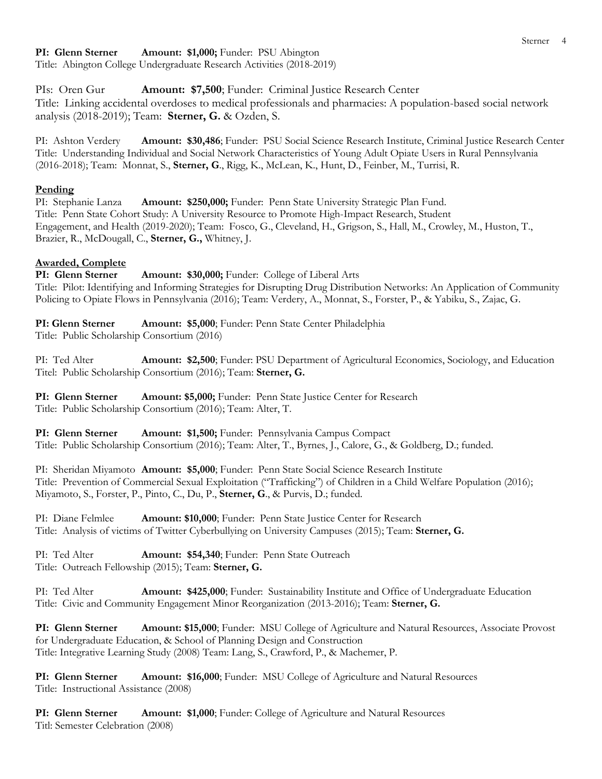## **PI: Glenn Sterner Amount: \$1,000;** Funder: PSU Abington

Title: Abington College Undergraduate Research Activities (2018-2019)

PIs: Oren Gur **Amount: \$7,500**; Funder: Criminal Justice Research Center Title: Linking accidental overdoses to medical professionals and pharmacies: A population-based social network analysis (2018-2019); Team: **Sterner, G.** & Ozden, S.

PI: Ashton Verdery **Amount: \$30,486**; Funder: PSU Social Science Research Institute, Criminal Justice Research Center Title: Understanding Individual and Social Network Characteristics of Young Adult Opiate Users in Rural Pennsylvania (2016-2018); Team: Monnat, S., **Sterner, G**., Rigg, K., McLean, K., Hunt, D., Feinber, M., Turrisi, R.

## **Pending**

PI: Stephanie Lanza **Amount: \$250,000;** Funder: Penn State University Strategic Plan Fund. Title: Penn State Cohort Study: A University Resource to Promote High-Impact Research, Student Engagement, and Health (2019-2020); Team: Fosco, G., Cleveland, H., Grigson, S., Hall, M., Crowley, M., Huston, T., Brazier, R., McDougall, C., **Sterner, G.,** Whitney, J.

## **Awarded, Complete**

PI: Glenn Sterner **Amount: \$30,000;** Funder: College of Liberal Arts Title: Pilot: Identifying and Informing Strategies for Disrupting Drug Distribution Networks: An Application of Community Policing to Opiate Flows in Pennsylvania (2016); Team: Verdery, A., Monnat, S., Forster, P., & Yabiku, S., Zajac, G.

**PI: Glenn Sterner Amount: \$5,000**; Funder: Penn State Center Philadelphia Title: Public Scholarship Consortium (2016)

PI: Ted Alter **Amount: \$2,500**; Funder: PSU Department of Agricultural Economics, Sociology, and Education Titel: Public Scholarship Consortium (2016); Team: **Sterner, G.**

**PI: Glenn Sterner Amount: \$5,000;** Funder: Penn State Justice Center for Research Title: Public Scholarship Consortium (2016); Team: Alter, T.

**PI: Glenn Sterner Amount: \$1,500;** Funder: Pennsylvania Campus Compact Title: Public Scholarship Consortium (2016); Team: Alter, T., Byrnes, J., Calore, G., & Goldberg, D.; funded.

PI: Sheridan Miyamoto **Amount: \$5,000**; Funder: Penn State Social Science Research Institute Title: Prevention of Commercial Sexual Exploitation ("Trafficking") of Children in a Child Welfare Population (2016); Miyamoto, S., Forster, P., Pinto, C., Du, P., **Sterner, G**., & Purvis, D.; funded.

PI: Diane Felmlee **Amount: \$10,000**; Funder: Penn State Justice Center for Research Title: Analysis of victims of Twitter Cyberbullying on University Campuses (2015); Team: **Sterner, G.**

PI: Ted Alter **Amount: \$54,340**; Funder: Penn State Outreach Title: Outreach Fellowship (2015); Team: **Sterner, G.**

PI: Ted Alter **Amount: \$425,000**; Funder: Sustainability Institute and Office of Undergraduate Education Title: Civic and Community Engagement Minor Reorganization (2013-2016); Team: **Sterner, G.**

**PI: Glenn Sterner Amount: \$15,000**; Funder: MSU College of Agriculture and Natural Resources, Associate Provost for Undergraduate Education, & School of Planning Design and Construction Title: Integrative Learning Study (2008) Team: Lang, S., Crawford, P., & Machemer, P.

**PI: Glenn Sterner Amount: \$16,000**; Funder: MSU College of Agriculture and Natural Resources Title: Instructional Assistance (2008)

**PI: Glenn Sterner Amount: \$1,000**; Funder: College of Agriculture and Natural Resources Titl: Semester Celebration (2008)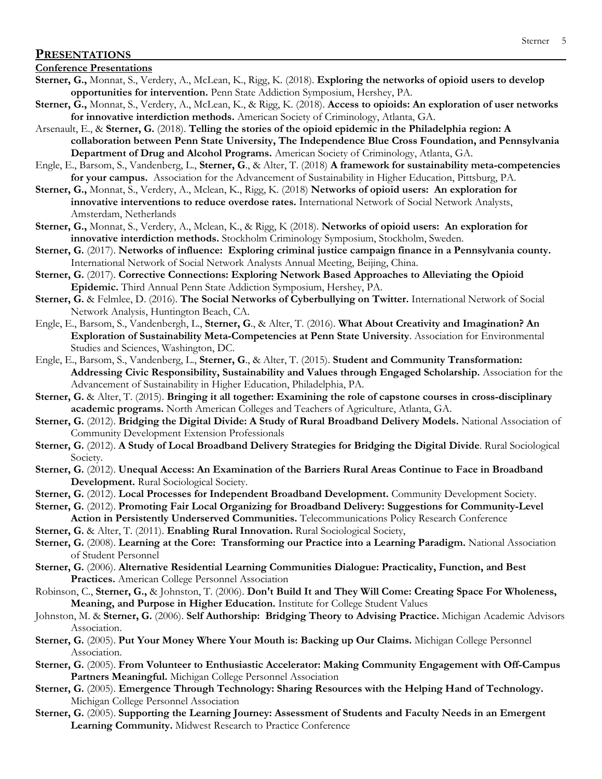### **PRESENTATIONS**

#### **Conference Presentations**

- **Sterner, G.,** Monnat, S., Verdery, A., McLean, K., Rigg, K. (2018). **Exploring the networks of opioid users to develop opportunities for intervention.** Penn State Addiction Symposium, Hershey, PA.
- **Sterner, G.,** Monnat, S., Verdery, A., McLean, K., & Rigg, K. (2018). **Access to opioids: An exploration of user networks for innovative interdiction methods.** American Society of Criminology, Atlanta, GA.
- Arsenault, E., & **Sterner, G.** (2018). **Telling the stories of the opioid epidemic in the Philadelphia region: A collaboration between Penn State University, The Independence Blue Cross Foundation, and Pennsylvania Department of Drug and Alcohol Programs.** American Society of Criminology, Atlanta, GA.
- Engle, E., Barsom, S., Vandenberg, L., **Sterner, G**., & Alter, T. (2018) **A framework for sustainability meta-competencies for your campus.** Association for the Advancement of Sustainability in Higher Education, Pittsburg, PA.
- **Sterner, G.,** Monnat, S., Verdery, A., Mclean, K., Rigg, K. (2018) **Networks of opioid users: An exploration for innovative interventions to reduce overdose rates.** International Network of Social Network Analysts, Amsterdam, Netherlands
- **Sterner, G.,** Monnat, S., Verdery, A., Mclean, K., & Rigg, K (2018). **Networks of opioid users: An exploration for innovative interdiction methods.** Stockholm Criminology Symposium, Stockholm, Sweden.
- **Sterner, G.** (2017). **Networks of influence: Exploring criminal justice campaign finance in a Pennsylvania county.** International Network of Social Network Analysts Annual Meeting, Beijing, China.
- **Sterner, G.** (2017). **Corrective Connections: Exploring Network Based Approaches to Alleviating the Opioid Epidemic.** Third Annual Penn State Addiction Symposium, Hershey, PA.
- **Sterner, G.** & Felmlee, D. (2016). **The Social Networks of Cyberbullying on Twitter.** International Network of Social Network Analysis, Huntington Beach, CA.
- Engle, E., Barsom, S., Vandenbergh, L., **Sterner, G**., & Alter, T. (2016). **What About Creativity and Imagination? An Exploration of Sustainability Meta-Competencies at Penn State University**. Association for Environmental Studies and Sciences, Washington, DC.
- Engle, E., Barsom, S., Vandenberg, L., **Sterner, G**., & Alter, T. (2015). **Student and Community Transformation: Addressing Civic Responsibility, Sustainability and Values through Engaged Scholarship.** Association for the Advancement of Sustainability in Higher Education, Philadelphia, PA.
- **Sterner, G.** & Alter, T. (2015). **Bringing it all together: Examining the role of capstone courses in cross-disciplinary academic programs.** North American Colleges and Teachers of Agriculture, Atlanta, GA.
- **Sterner, G.** (2012). **Bridging the Digital Divide: A Study of Rural Broadband Delivery Models.** National Association of Community Development Extension Professionals
- **Sterner, G.** (2012). **A Study of Local Broadband Delivery Strategies for Bridging the Digital Divide**. Rural Sociological Society.
- **Sterner, G.** (2012). **Unequal Access: An Examination of the Barriers Rural Areas Continue to Face in Broadband Development.** Rural Sociological Society.
- **Sterner, G.** (2012). **Local Processes for Independent Broadband Development.** Community Development Society.
- **Sterner, G.** (2012). **Promoting Fair Local Organizing for Broadband Delivery: Suggestions for Community-Level Action in Persistently Underserved Communities.** Telecommunications Policy Research Conference
- **Sterner, G.** & Alter, T. (2011). **Enabling Rural Innovation.** Rural Sociological Society,
- **Sterner, G.** (2008). **Learning at the Core: Transforming our Practice into a Learning Paradigm.** National Association of Student Personnel
- **Sterner, G.** (2006). **Alternative Residential Learning Communities Dialogue: Practicality, Function, and Best Practices.** American College Personnel Association
- Robinson, C., **Sterner, G.,** & Johnston, T. (2006). **Don't Build It and They Will Come: Creating Space For Wholeness, Meaning, and Purpose in Higher Education.** Institute for College Student Values
- Johnston, M. & **Sterner, G.** (2006). **Self Authorship: Bridging Theory to Advising Practice.** Michigan Academic Advisors Association.
- **Sterner, G.** (2005). **Put Your Money Where Your Mouth is: Backing up Our Claims.** Michigan College Personnel Association.
- **Sterner, G.** (2005). **From Volunteer to Enthusiastic Accelerator: Making Community Engagement with Off-Campus Partners Meaningful.** Michigan College Personnel Association
- **Sterner, G.** (2005). **Emergence Through Technology: Sharing Resources with the Helping Hand of Technology.** Michigan College Personnel Association
- **Sterner, G.** (2005). **Supporting the Learning Journey: Assessment of Students and Faculty Needs in an Emergent Learning Community.** Midwest Research to Practice Conference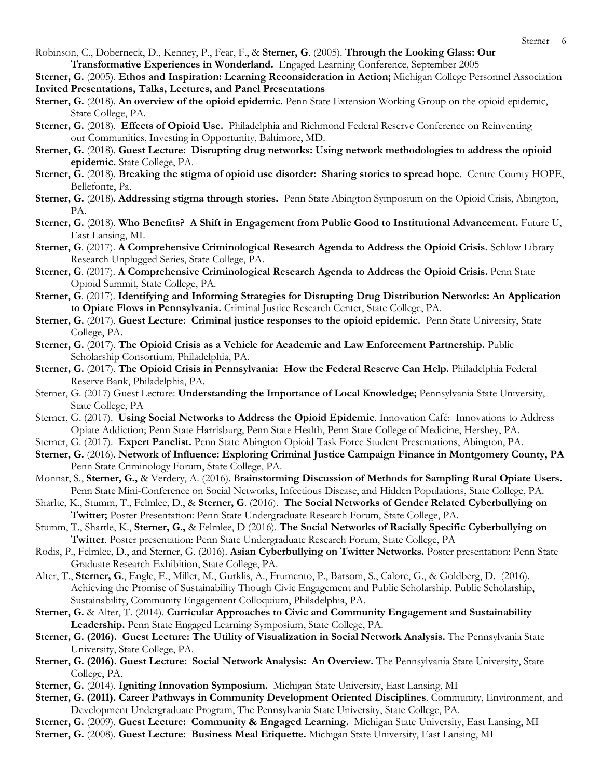Robinson, C., Doberneck, D., Kenney, P., Fear, F., & **Sterner, G**. (2005). **Through the Looking Glass: Our Transformative Experiences in Wonderland.** Engaged Learning Conference, September 2005

**Sterner, G.** (2005). **Ethos and Inspiration: Learning Reconsideration in Action;** Michigan College Personnel Association **Invited Presentations, Talks, Lectures, and Panel Presentations**

- **Sterner, G.** (2018). **An overview of the opioid epidemic.** Penn State Extension Working Group on the opioid epidemic, State College, PA.
- **Sterner, G.** (2018). **Effects of Opioid Use.** Philadelphia and Richmond Federal Reserve Conference on Reinventing our Communities, Investing in Opportunity, Baltimore, MD.
- **Sterner, G.** (2018). **Guest Lecture: Disrupting drug networks: Using network methodologies to address the opioid epidemic.** State College, PA.
- **Sterner, G.** (2018). **Breaking the stigma of opioid use disorder: Sharing stories to spread hope**. Centre County HOPE, Bellefonte, Pa.
- **Sterner, G.** (2018). **Addressing stigma through stories.** Penn State Abington Symposium on the Opioid Crisis, Abington, PA.
- **Sterner, G.** (2018). **Who Benefits? A Shift in Engagement from Public Good to Institutional Advancement.** Future U, East Lansing, MI.
- **Sterner, G**. (2017). **A Comprehensive Criminological Research Agenda to Address the Opioid Crisis.** Schlow Library Research Unplugged Series, State College, PA.
- **Sterner, G**. (2017). **A Comprehensive Criminological Research Agenda to Address the Opioid Crisis.** Penn State Opioid Summit, State College, PA.
- **Sterner, G**. (2017). **Identifying and Informing Strategies for Disrupting Drug Distribution Networks: An Application to Opiate Flows in Pennsylvania.** Criminal Justice Research Center, State College, PA.
- **Sterner, G.** (2017). **Guest Lecture: Criminal justice responses to the opioid epidemic.** Penn State University, State College, PA.
- **Sterner, G.** (2017). **The Opioid Crisis as a Vehicle for Academic and Law Enforcement Partnership.** Public Scholarship Consortium, Philadelphia, PA.
- **Sterner, G.** (2017). **The Opioid Crisis in Pennsylvania: How the Federal Reserve Can Help.** Philadelphia Federal Reserve Bank, Philadelphia, PA.
- Sterner, G. (2017) Guest Lecture: **Understanding the Importance of Local Knowledge;** Pennsylvania State University, State College, PA
- Sterner, G. (2017). **Using Social Networks to Address the Opioid Epidemic**. Innovation Café: Innovations to Address Opiate Addiction; Penn State Harrisburg, Penn State Health, Penn State College of Medicine, Hershey, PA.
- Sterner, G. (2017). **Expert Panelist.** Penn State Abington Opioid Task Force Student Presentations, Abington, PA.
- **Sterner, G.** (2016). **Network of Influence: Exploring Criminal Justice Campaign Finance in Montgomery County, PA** Penn State Criminology Forum, State College, PA.
- Monnat, S., **Sterner, G.,** & Verdery, A. (2016). B**rainstorming Discussion of Methods for Sampling Rural Opiate Users.** Penn State Mini-Conference on Social Networks, Infectious Disease, and Hidden Populations, State College, PA.
- Sharlte, K., Stumm, T., Felmlee, D., & **Sterner, G**. (2016). **The Social Networks of Gender Related Cyberbullying on Twitter;** Poster Presentation: Penn State Undergraduate Research Forum, State College, PA.
- Stumm, T., Shartle, K., **Sterner, G.,** & Felmlee, D (2016). **The Social Networks of Racially Specific Cyberbullying on Twitter**. Poster presentation: Penn State Undergraduate Research Forum, State College, PA
- Rodis, P., Felmlee, D., and Sterner, G. (2016). **Asian Cyberbullying on Twitter Networks.** Poster presentation: Penn State Graduate Research Exhibition, State College, PA.
- Alter, T., **Sterner, G**., Engle, E., Miller, M., Gurklis, A., Frumento, P., Barsom, S., Calore, G., & Goldberg, D. (2016). Achieving the Promise of Sustainability Though Civic Engagement and Public Scholarship. Public Scholarship, Sustainability, Community Engagement Colloquium, Philadelphia, PA.
- **Sterner, G.** & Alter, T. (2014). **Curricular Approaches to Civic and Community Engagement and Sustainability Leadership.** Penn State Engaged Learning Symposium, State College, PA.
- **Sterner, G. (2016). Guest Lecture: The Utility of Visualization in Social Network Analysis.** The Pennsylvania State University, State College, PA.
- Sterner, G. (2016). Guest Lecture: Social Network Analysis: An Overview. The Pennsylvania State University, State College, PA.
- **Sterner, G.** (2014). **Igniting Innovation Symposium.** Michigan State University, East Lansing, MI
- **Sterner, G. (2011). Career Pathways in Community Development Oriented Disciplines**. Community, Environment, and Development Undergraduate Program, The Pennsylvania State University, State College, PA.
- **Sterner, G.** (2009). **Guest Lecture: Community & Engaged Learning.** Michigan State University, East Lansing, MI
- **Sterner, G.** (2008). **Guest Lecture: Business Meal Etiquette.** Michigan State University, East Lansing, MI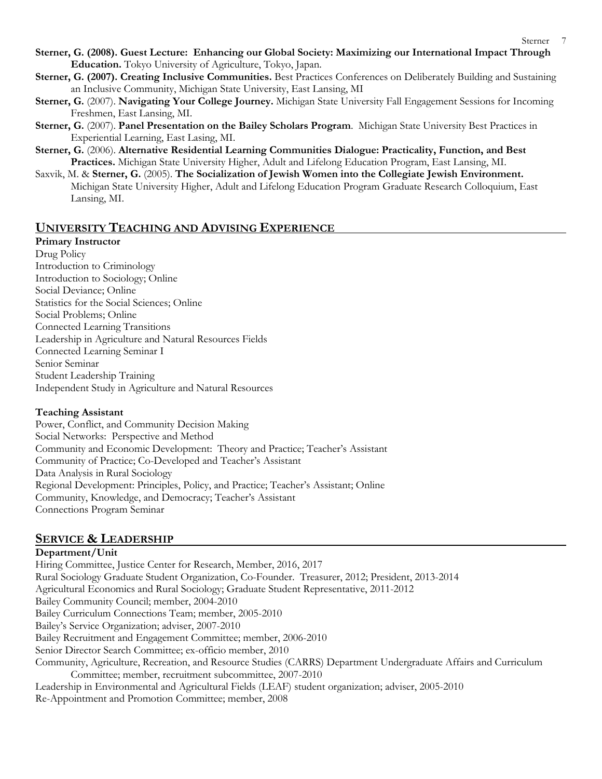- **Sterner, G. (2008). Guest Lecture: Enhancing our Global Society: Maximizing our International Impact Through Education.** Tokyo University of Agriculture, Tokyo, Japan.
- **Sterner, G. (2007). Creating Inclusive Communities.** Best Practices Conferences on Deliberately Building and Sustaining an Inclusive Community, Michigan State University, East Lansing, MI
- **Sterner, G.** (2007). **Navigating Your College Journey.** Michigan State University Fall Engagement Sessions for Incoming Freshmen, East Lansing, MI.
- **Sterner, G.** (2007). **Panel Presentation on the Bailey Scholars Program**. Michigan State University Best Practices in Experiential Learning, East Lasing, MI.
- **Sterner, G.** (2006). **Alternative Residential Learning Communities Dialogue: Practicality, Function, and Best Practices.** Michigan State University Higher, Adult and Lifelong Education Program, East Lansing, MI.
- Saxvik, M. & **Sterner, G.** (2005). **The Socialization of Jewish Women into the Collegiate Jewish Environment.**  Michigan State University Higher, Adult and Lifelong Education Program Graduate Research Colloquium, East Lansing, MI.

## **UNIVERSITY TEACHING AND ADVISING EXPERIENCE**

### **Primary Instructor**

Drug Policy Introduction to Criminology Introduction to Sociology; Online Social Deviance; Online Statistics for the Social Sciences; Online Social Problems; Online Connected Learning Transitions Leadership in Agriculture and Natural Resources Fields Connected Learning Seminar I Senior Seminar Student Leadership Training Independent Study in Agriculture and Natural Resources

## **Teaching Assistant**

Power, Conflict, and Community Decision Making Social Networks: Perspective and Method Community and Economic Development: Theory and Practice; Teacher's Assistant Community of Practice; Co-Developed and Teacher's Assistant Data Analysis in Rural Sociology Regional Development: Principles, Policy, and Practice; Teacher's Assistant; Online Community, Knowledge, and Democracy; Teacher's Assistant Connections Program Seminar

# **SERVICE & LEADERSHIP**

## **Department/Unit**

Hiring Committee, Justice Center for Research, Member, 2016, 2017 Rural Sociology Graduate Student Organization, Co-Founder. Treasurer, 2012; President, 2013-2014 Agricultural Economics and Rural Sociology; Graduate Student Representative, 2011-2012 Bailey Community Council; member, 2004-2010 Bailey Curriculum Connections Team; member, 2005-2010 Bailey's Service Organization; adviser, 2007-2010 Bailey Recruitment and Engagement Committee; member, 2006-2010 Senior Director Search Committee; ex-officio member, 2010 Community, Agriculture, Recreation, and Resource Studies (CARRS) Department Undergraduate Affairs and Curriculum Committee; member, recruitment subcommittee, 2007-2010 Leadership in Environmental and Agricultural Fields (LEAF) student organization; adviser, 2005-2010 Re-Appointment and Promotion Committee; member, 2008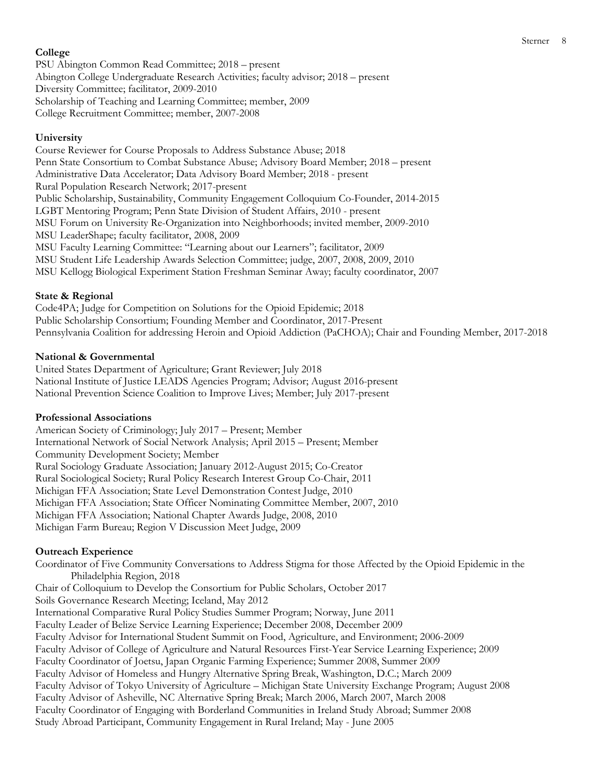#### Sterner 8

#### **College**

PSU Abington Common Read Committee; 2018 – present Abington College Undergraduate Research Activities; faculty advisor; 2018 – present Diversity Committee; facilitator, 2009-2010 Scholarship of Teaching and Learning Committee; member, 2009 College Recruitment Committee; member, 2007-2008

### **University**

Course Reviewer for Course Proposals to Address Substance Abuse; 2018 Penn State Consortium to Combat Substance Abuse; Advisory Board Member; 2018 – present Administrative Data Accelerator; Data Advisory Board Member; 2018 - present Rural Population Research Network; 2017-present Public Scholarship, Sustainability, Community Engagement Colloquium Co-Founder, 2014-2015 LGBT Mentoring Program; Penn State Division of Student Affairs, 2010 - present MSU Forum on University Re-Organization into Neighborhoods; invited member, 2009-2010 MSU LeaderShape; faculty facilitator, 2008, 2009 MSU Faculty Learning Committee: "Learning about our Learners"; facilitator, 2009 MSU Student Life Leadership Awards Selection Committee; judge, 2007, 2008, 2009, 2010 MSU Kellogg Biological Experiment Station Freshman Seminar Away; faculty coordinator, 2007

#### **State & Regional**

Code4PA; Judge for Competition on Solutions for the Opioid Epidemic; 2018 Public Scholarship Consortium; Founding Member and Coordinator, 2017-Present Pennsylvania Coalition for addressing Heroin and Opioid Addiction (PaCHOA); Chair and Founding Member, 2017-2018

### **National & Governmental**

United States Department of Agriculture; Grant Reviewer; July 2018 National Institute of Justice LEADS Agencies Program; Advisor; August 2016-present National Prevention Science Coalition to Improve Lives; Member; July 2017-present

#### **Professional Associations**

American Society of Criminology; July 2017 – Present; Member International Network of Social Network Analysis; April 2015 – Present; Member Community Development Society; Member Rural Sociology Graduate Association; January 2012-August 2015; Co-Creator Rural Sociological Society; Rural Policy Research Interest Group Co-Chair, 2011 Michigan FFA Association; State Level Demonstration Contest Judge, 2010 Michigan FFA Association; State Officer Nominating Committee Member, 2007, 2010 Michigan FFA Association; National Chapter Awards Judge, 2008, 2010 Michigan Farm Bureau; Region V Discussion Meet Judge, 2009

### **Outreach Experience**

Coordinator of Five Community Conversations to Address Stigma for those Affected by the Opioid Epidemic in the Philadelphia Region, 2018 Chair of Colloquium to Develop the Consortium for Public Scholars, October 2017 Soils Governance Research Meeting; Iceland, May 2012 International Comparative Rural Policy Studies Summer Program; Norway, June 2011 Faculty Leader of Belize Service Learning Experience; December 2008, December 2009 Faculty Advisor for International Student Summit on Food, Agriculture, and Environment; 2006-2009 Faculty Advisor of College of Agriculture and Natural Resources First-Year Service Learning Experience; 2009 Faculty Coordinator of Joetsu, Japan Organic Farming Experience; Summer 2008, Summer 2009 Faculty Advisor of Homeless and Hungry Alternative Spring Break, Washington, D.C.; March 2009 Faculty Advisor of Tokyo University of Agriculture – Michigan State University Exchange Program; August 2008 Faculty Advisor of Asheville, NC Alternative Spring Break; March 2006, March 2007, March 2008 Faculty Coordinator of Engaging with Borderland Communities in Ireland Study Abroad; Summer 2008 Study Abroad Participant, Community Engagement in Rural Ireland; May - June 2005